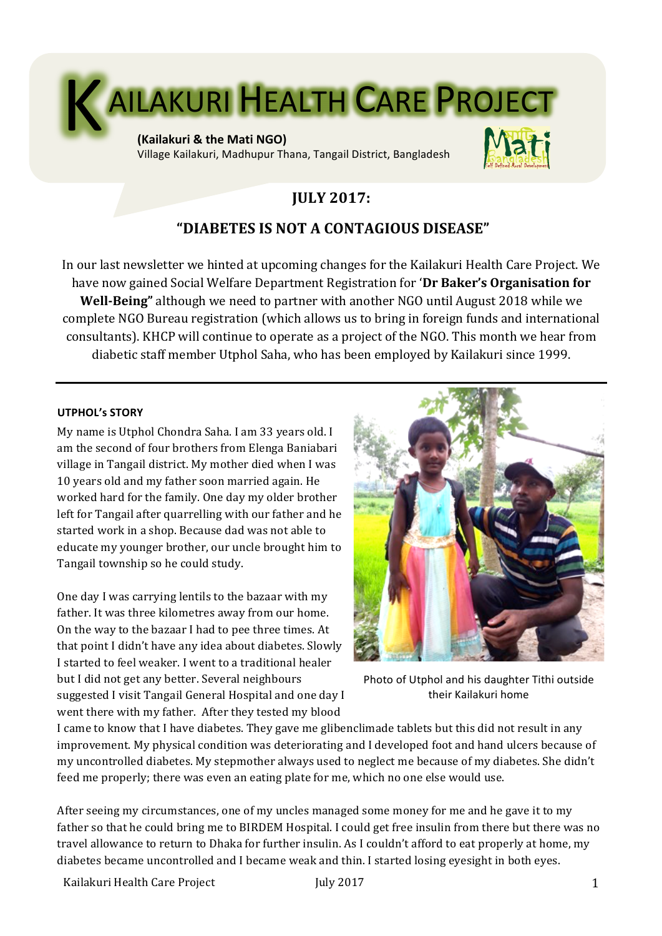

Village Kailakuri, Madhupur Thana, Tangail District, Bangladesh



# **JULY 2017:**

## **"DIABETES IS NOT A CONTAGIOUS DISEASE"**

In our last newsletter we hinted at upcoming changes for the Kailakuri Health Care Project. We have now gained Social Welfare Department Registration for 'Dr Baker's Organisation for **Well-Being**" although we need to partner with another NGO until August 2018 while we complete NGO Bureau registration (which allows us to bring in foreign funds and international consultants). KHCP will continue to operate as a project of the NGO. This month we hear from diabetic staff member Utphol Saha, who has been employed by Kailakuri since 1999.

#### **UTPHOL's STORY**

My name is Utphol Chondra Saha. I am 33 years old. I am the second of four brothers from Elenga Baniabari village in Tangail district. My mother died when I was 10 years old and my father soon married again. He worked hard for the family. One day my older brother left for Tangail after quarrelling with our father and he started work in a shop. Because dad was not able to educate my younger brother, our uncle brought him to Tangail township so he could study.

One day I was carrying lentils to the bazaar with my father. It was three kilometres away from our home. On the way to the bazaar I had to pee three times. At that point I didn't have any idea about diabetes. Slowly I started to feel weaker. I went to a traditional healer but I did not get any better. Several neighbours suggested I visit Tangail General Hospital and one day I went there with my father. After they tested my blood



Photo of Utphol and his daughter Tithi outside their Kailakuri home

I came to know that I have diabetes. They gave me glibenclimade tablets but this did not result in any improvement. My physical condition was deteriorating and I developed foot and hand ulcers because of my uncontrolled diabetes. My stepmother always used to neglect me because of my diabetes. She didn't feed me properly; there was even an eating plate for me, which no one else would use.

After seeing my circumstances, one of my uncles managed some money for me and he gave it to my father so that he could bring me to BIRDEM Hospital. I could get free insulin from there but there was no travel allowance to return to Dhaka for further insulin. As I couldn't afford to eat properly at home, my diabetes became uncontrolled and I became weak and thin. I started losing eyesight in both eyes.

Kailakuri Health Care Project **1** and the Unit of Table 1 and the Unit of Table 1 and the Unit of Table 1 and the U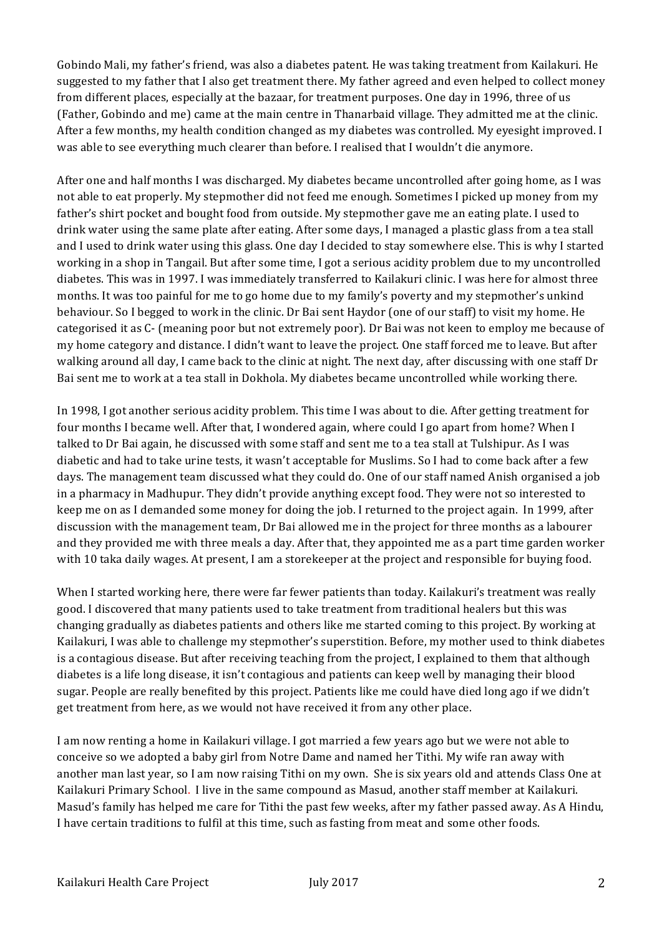Gobindo Mali, my father's friend, was also a diabetes patent. He was taking treatment from Kailakuri. He suggested to my father that I also get treatment there. My father agreed and even helped to collect money from different places, especially at the bazaar, for treatment purposes. One day in 1996, three of us (Father, Gobindo and me) came at the main centre in Thanarbaid village. They admitted me at the clinic. After a few months, my health condition changed as my diabetes was controlled. My eyesight improved. I was able to see everything much clearer than before. I realised that I wouldn't die anymore.

After one and half months I was discharged. My diabetes became uncontrolled after going home, as I was not able to eat properly. My stepmother did not feed me enough. Sometimes I picked up money from my father's shirt pocket and bought food from outside. My stepmother gave me an eating plate. I used to drink water using the same plate after eating. After some days, I managed a plastic glass from a tea stall and I used to drink water using this glass. One day I decided to stay somewhere else. This is why I started working in a shop in Tangail. But after some time, I got a serious acidity problem due to my uncontrolled diabetes. This was in 1997. I was immediately transferred to Kailakuri clinic. I was here for almost three months. It was too painful for me to go home due to my family's poverty and my stepmother's unkind behaviour. So I begged to work in the clinic. Dr Bai sent Haydor (one of our staff) to visit my home. He categorised it as C- (meaning poor but not extremely poor). Dr Bai was not keen to employ me because of my home category and distance. I didn't want to leave the project. One staff forced me to leave. But after walking around all day, I came back to the clinic at night. The next day, after discussing with one staff Dr Bai sent me to work at a tea stall in Dokhola. My diabetes became uncontrolled while working there.

In 1998, I got another serious acidity problem. This time I was about to die. After getting treatment for four months I became well. After that, I wondered again, where could I go apart from home? When I talked to Dr Bai again, he discussed with some staff and sent me to a tea stall at Tulshipur. As I was diabetic and had to take urine tests, it wasn't acceptable for Muslims. So I had to come back after a few days. The management team discussed what they could do. One of our staff named Anish organised a job in a pharmacy in Madhupur. They didn't provide anything except food. They were not so interested to keep me on as I demanded some money for doing the job. I returned to the project again. In 1999, after discussion with the management team, Dr Bai allowed me in the project for three months as a labourer and they provided me with three meals a day. After that, they appointed me as a part time garden worker with 10 taka daily wages. At present, I am a storekeeper at the project and responsible for buying food.

When I started working here, there were far fewer patients than today. Kailakuri's treatment was really good. I discovered that many patients used to take treatment from traditional healers but this was changing gradually as diabetes patients and others like me started coming to this project. By working at Kailakuri, I was able to challenge my stepmother's superstition. Before, my mother used to think diabetes is a contagious disease. But after receiving teaching from the project, I explained to them that although diabetes is a life long disease, it isn't contagious and patients can keep well by managing their blood sugar. People are really benefited by this project. Patients like me could have died long ago if we didn't get treatment from here, as we would not have received it from any other place.

I am now renting a home in Kailakuri village. I got married a few years ago but we were not able to conceive so we adopted a baby girl from Notre Dame and named her Tithi. My wife ran away with another man last year, so I am now raising Tithi on my own. She is six years old and attends Class One at Kailakuri Primary School. I live in the same compound as Masud, another staff member at Kailakuri. Masud's family has helped me care for Tithi the past few weeks, after my father passed away. As A Hindu, I have certain traditions to fulfil at this time, such as fasting from meat and some other foods.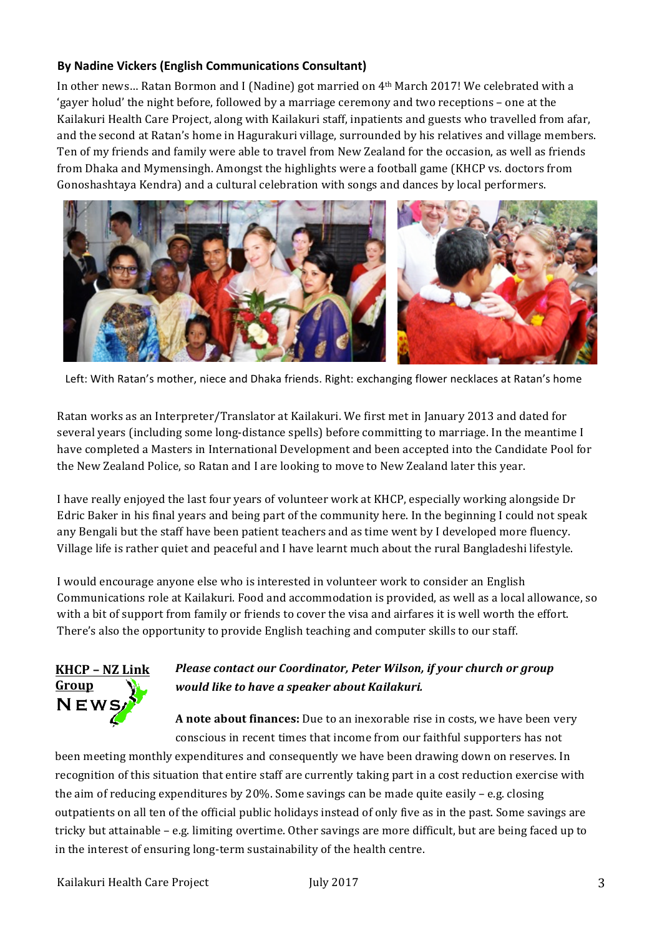## **By Nadine Vickers (English Communications Consultant)**

In other news... Ratan Bormon and I (Nadine) got married on 4<sup>th</sup> March 2017! We celebrated with a 'gayer holud' the night before, followed by a marriage ceremony and two receptions - one at the Kailakuri Health Care Project, along with Kailakuri staff, inpatients and guests who travelled from afar, and the second at Ratan's home in Hagurakuri village, surrounded by his relatives and village members. Ten of my friends and family were able to travel from New Zealand for the occasion, as well as friends from Dhaka and Mymensingh. Amongst the highlights were a football game (KHCP vs. doctors from Gonoshashtaya Kendra) and a cultural celebration with songs and dances by local performers.



Left: With Ratan's mother, niece and Dhaka friends. Right: exchanging flower necklaces at Ratan's home

Ratan works as an Interpreter/Translator at Kailakuri. We first met in January 2013 and dated for several years (including some long-distance spells) before committing to marriage. In the meantime I have completed a Masters in International Development and been accepted into the Candidate Pool for the New Zealand Police, so Ratan and I are looking to move to New Zealand later this year.

I have really enjoyed the last four years of volunteer work at KHCP, especially working alongside Dr Edric Baker in his final years and being part of the community here. In the beginning I could not speak any Bengali but the staff have been patient teachers and as time went by I developed more fluency. Village life is rather quiet and peaceful and I have learnt much about the rural Bangladeshi lifestyle.

I would encourage anyone else who is interested in volunteer work to consider an English Communications role at Kailakuri. Food and accommodation is provided, as well as a local allowance, so with a bit of support from family or friends to cover the visa and airfares it is well worth the effort. There's also the opportunity to provide English teaching and computer skills to our staff.

# **KHCP – NZ Link Group**  $N$ EW

## *Please contact our Coordinator, Peter Wilson, if your church or group would like to have a speaker about Kailakuri.*

**A** note about finances: Due to an inexorable rise in costs, we have been very conscious in recent times that income from our faithful supporters has not

been meeting monthly expenditures and consequently we have been drawing down on reserves. In recognition of this situation that entire staff are currently taking part in a cost reduction exercise with the aim of reducing expenditures by 20%. Some savings can be made quite easily – e.g. closing outpatients on all ten of the official public holidays instead of only five as in the past. Some savings are tricky but attainable - e.g. limiting overtime. Other savings are more difficult, but are being faced up to in the interest of ensuring long-term sustainability of the health centre.